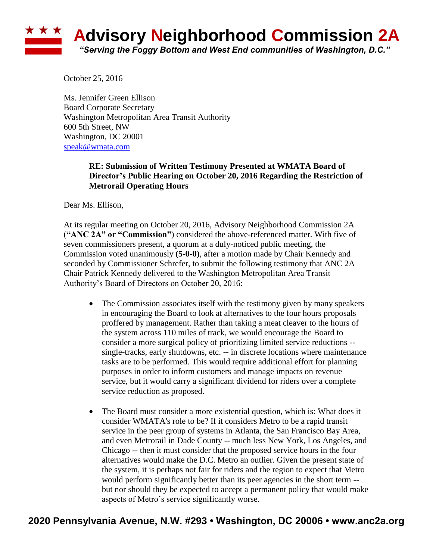# **Advisory Neighborhood Commission 2A** *"Serving the Foggy Bottom and West End communities of Washington, D.C."*

October 25, 2016

Ms. Jennifer Green Ellison Board Corporate Secretary Washington Metropolitan Area Transit Authority 600 5th Street, NW Washington, DC 20001 [speak@wmata.com](mailto:speak@wmata.com)

#### **RE: Submission of Written Testimony Presented at WMATA Board of Director's Public Hearing on October 20, 2016 Regarding the Restriction of Metrorail Operating Hours**

Dear Ms. Ellison,

At its regular meeting on October 20, 2016, Advisory Neighborhood Commission 2A (**"ANC 2A" or "Commission"**) considered the above-referenced matter. With five of seven commissioners present, a quorum at a duly-noticed public meeting, the Commission voted unanimously **(5-0-0)**, after a motion made by Chair Kennedy and seconded by Commissioner Schrefer, to submit the following testimony that ANC 2A Chair Patrick Kennedy delivered to the Washington Metropolitan Area Transit Authority's Board of Directors on October 20, 2016:

- The Commission associates itself with the testimony given by many speakers in encouraging the Board to look at alternatives to the four hours proposals proffered by management. Rather than taking a meat cleaver to the hours of the system across 110 miles of track, we would encourage the Board to consider a more surgical policy of prioritizing limited service reductions - single-tracks, early shutdowns, etc. -- in discrete locations where maintenance tasks are to be performed. This would require additional effort for planning purposes in order to inform customers and manage impacts on revenue service, but it would carry a significant dividend for riders over a complete service reduction as proposed.
- The Board must consider a more existential question, which is: What does it consider WMATA's role to be? If it considers Metro to be a rapid transit service in the peer group of systems in Atlanta, the San Francisco Bay Area, and even Metrorail in Dade County -- much less New York, Los Angeles, and Chicago -- then it must consider that the proposed service hours in the four alternatives would make the D.C. Metro an outlier. Given the present state of the system, it is perhaps not fair for riders and the region to expect that Metro would perform significantly better than its peer agencies in the short term - but nor should they be expected to accept a permanent policy that would make aspects of Metro's service significantly worse.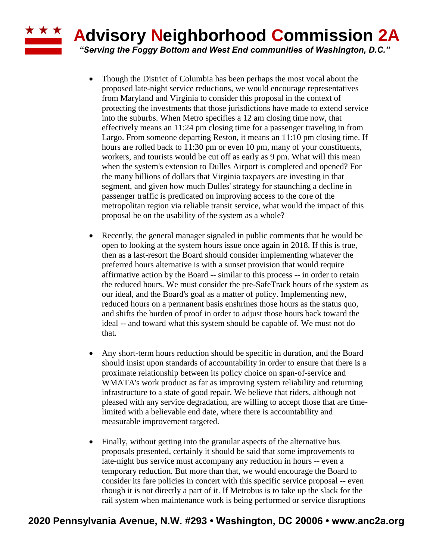# **Advisory Neighborhood Commission 2A**

*"Serving the Foggy Bottom and West End communities of Washington, D.C."*

**\* \* \*** 

- Though the District of Columbia has been perhaps the most vocal about the proposed late-night service reductions, we would encourage representatives from Maryland and Virginia to consider this proposal in the context of protecting the investments that those jurisdictions have made to extend service into the suburbs. When Metro specifies a 12 am closing time now, that effectively means an 11:24 pm closing time for a passenger traveling in from Largo. From someone departing Reston, it means an 11:10 pm closing time. If hours are rolled back to 11:30 pm or even 10 pm, many of your constituents, workers, and tourists would be cut off as early as 9 pm. What will this mean when the system's extension to Dulles Airport is completed and opened? For the many billions of dollars that Virginia taxpayers are investing in that segment, and given how much Dulles' strategy for staunching a decline in passenger traffic is predicated on improving access to the core of the metropolitan region via reliable transit service, what would the impact of this proposal be on the usability of the system as a whole?
- Recently, the general manager signaled in public comments that he would be open to looking at the system hours issue once again in 2018. If this is true, then as a last-resort the Board should consider implementing whatever the preferred hours alternative is with a sunset provision that would require affirmative action by the Board -- similar to this process -- in order to retain the reduced hours. We must consider the pre-SafeTrack hours of the system as our ideal, and the Board's goal as a matter of policy. Implementing new, reduced hours on a permanent basis enshrines those hours as the status quo, and shifts the burden of proof in order to adjust those hours back toward the ideal -- and toward what this system should be capable of. We must not do that.
- Any short-term hours reduction should be specific in duration, and the Board should insist upon standards of accountability in order to ensure that there is a proximate relationship between its policy choice on span-of-service and WMATA's work product as far as improving system reliability and returning infrastructure to a state of good repair. We believe that riders, although not pleased with any service degradation, are willing to accept those that are timelimited with a believable end date, where there is accountability and measurable improvement targeted.
- Finally, without getting into the granular aspects of the alternative bus proposals presented, certainly it should be said that some improvements to late-night bus service must accompany any reduction in hours -- even a temporary reduction. But more than that, we would encourage the Board to consider its fare policies in concert with this specific service proposal -- even though it is not directly a part of it. If Metrobus is to take up the slack for the rail system when maintenance work is being performed or service disruptions

### **2020 Pennsylvania Avenue, N.W. #293 • Washington, DC 20006 • www.anc2a.org**